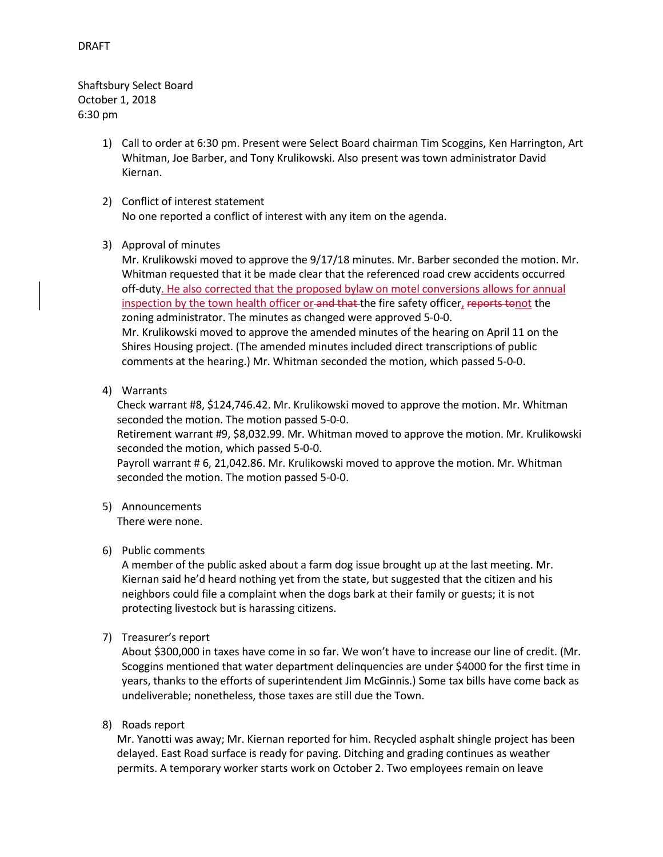Shaftsbury Select Board October 1, 2018 6:30 pm

- 1) Call to order at 6:30 pm. Present were Select Board chairman Tim Scoggins, Ken Harrington, Art Whitman, Joe Barber, and Tony Krulikowski. Also present was town administrator David Kiernan.
- 2) Conflict of interest statement No one reported a conflict of interest with any item on the agenda.
- 3) Approval of minutes

Mr. Krulikowski moved to approve the 9/17/18 minutes. Mr. Barber seconded the motion. Mr. Whitman requested that it be made clear that the referenced road crew accidents occurred off-duty. He also corrected that the proposed bylaw on motel conversions allows for annual inspection by the town health officer or and that the fire safety officer, reports tonot the zoning administrator. The minutes as changed were approved 5-0-0. Mr. Krulikowski moved to approve the amended minutes of the hearing on April 11 on the Shires Housing project. (The amended minutes included direct transcriptions of public comments at the hearing.) Mr. Whitman seconded the motion, which passed 5-0-0.

4) Warrants

Check warrant #8, \$124,746.42. Mr. Krulikowski moved to approve the motion. Mr. Whitman seconded the motion. The motion passed 5-0-0.

Retirement warrant #9, \$8,032.99. Mr. Whitman moved to approve the motion. Mr. Krulikowski seconded the motion, which passed 5-0-0.

Payroll warrant # 6, 21,042.86. Mr. Krulikowski moved to approve the motion. Mr. Whitman seconded the motion. The motion passed 5-0-0.

5) Announcements

There were none.

# 6) Public comments

A member of the public asked about a farm dog issue brought up at the last meeting. Mr. Kiernan said he'd heard nothing yet from the state, but suggested that the citizen and his neighbors could file a complaint when the dogs bark at their family or guests; it is not protecting livestock but is harassing citizens.

7) Treasurer's report

About \$300,000 in taxes have come in so far. We won't have to increase our line of credit. (Mr. Scoggins mentioned that water department delinquencies are under \$4000 for the first time in years, thanks to the efforts of superintendent Jim McGinnis.) Some tax bills have come back as undeliverable; nonetheless, those taxes are still due the Town.

8) Roads report

Mr. Yanotti was away; Mr. Kiernan reported for him. Recycled asphalt shingle project has been delayed. East Road surface is ready for paving. Ditching and grading continues as weather permits. A temporary worker starts work on October 2. Two employees remain on leave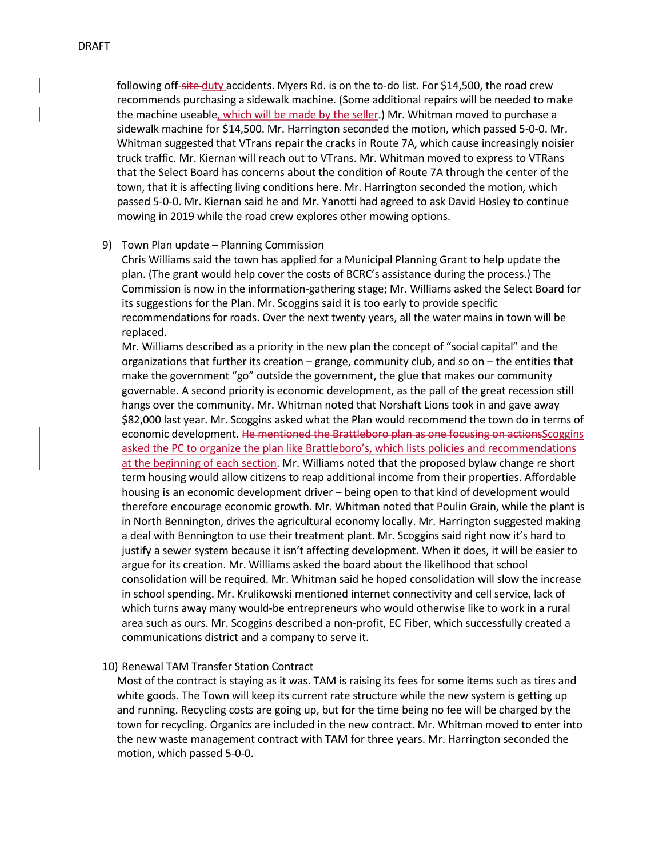following off-site-duty accidents. Myers Rd. is on the to-do list. For \$14,500, the road crew recommends purchasing a sidewalk machine. (Some additional repairs will be needed to make the machine useable, which will be made by the seller.) Mr. Whitman moved to purchase a sidewalk machine for \$14,500. Mr. Harrington seconded the motion, which passed 5-0-0. Mr. Whitman suggested that VTrans repair the cracks in Route 7A, which cause increasingly noisier truck traffic. Mr. Kiernan will reach out to VTrans. Mr. Whitman moved to express to VTRans that the Select Board has concerns about the condition of Route 7A through the center of the town, that it is affecting living conditions here. Mr. Harrington seconded the motion, which passed 5-0-0. Mr. Kiernan said he and Mr. Yanotti had agreed to ask David Hosley to continue mowing in 2019 while the road crew explores other mowing options.

## 9) Town Plan update – Planning Commission

Chris Williams said the town has applied for a Municipal Planning Grant to help update the plan. (The grant would help cover the costs of BCRC's assistance during the process.) The Commission is now in the information-gathering stage; Mr. Williams asked the Select Board for its suggestions for the Plan. Mr. Scoggins said it is too early to provide specific recommendations for roads. Over the next twenty years, all the water mains in town will be replaced.

Mr. Williams described as a priority in the new plan the concept of "social capital" and the organizations that further its creation – grange, community club, and so on – the entities that make the government "go" outside the government, the glue that makes our community governable. A second priority is economic development, as the pall of the great recession still hangs over the community. Mr. Whitman noted that Norshaft Lions took in and gave away \$82,000 last year. Mr. Scoggins asked what the Plan would recommend the town do in terms of economic development. He mentioned the Brattleboro plan as one focusing on actionsScoggins asked the PC to organize the plan like Brattleboro's, which lists policies and recommendations at the beginning of each section. Mr. Williams noted that the proposed bylaw change re short term housing would allow citizens to reap additional income from their properties. Affordable housing is an economic development driver – being open to that kind of development would therefore encourage economic growth. Mr. Whitman noted that Poulin Grain, while the plant is in North Bennington, drives the agricultural economy locally. Mr. Harrington suggested making a deal with Bennington to use their treatment plant. Mr. Scoggins said right now it's hard to justify a sewer system because it isn't affecting development. When it does, it will be easier to argue for its creation. Mr. Williams asked the board about the likelihood that school consolidation will be required. Mr. Whitman said he hoped consolidation will slow the increase in school spending. Mr. Krulikowski mentioned internet connectivity and cell service, lack of which turns away many would-be entrepreneurs who would otherwise like to work in a rural area such as ours. Mr. Scoggins described a non-profit, EC Fiber, which successfully created a communications district and a company to serve it.

## 10) Renewal TAM Transfer Station Contract

Most of the contract is staying as it was. TAM is raising its fees for some items such as tires and white goods. The Town will keep its current rate structure while the new system is getting up and running. Recycling costs are going up, but for the time being no fee will be charged by the town for recycling. Organics are included in the new contract. Mr. Whitman moved to enter into the new waste management contract with TAM for three years. Mr. Harrington seconded the motion, which passed 5-0-0.